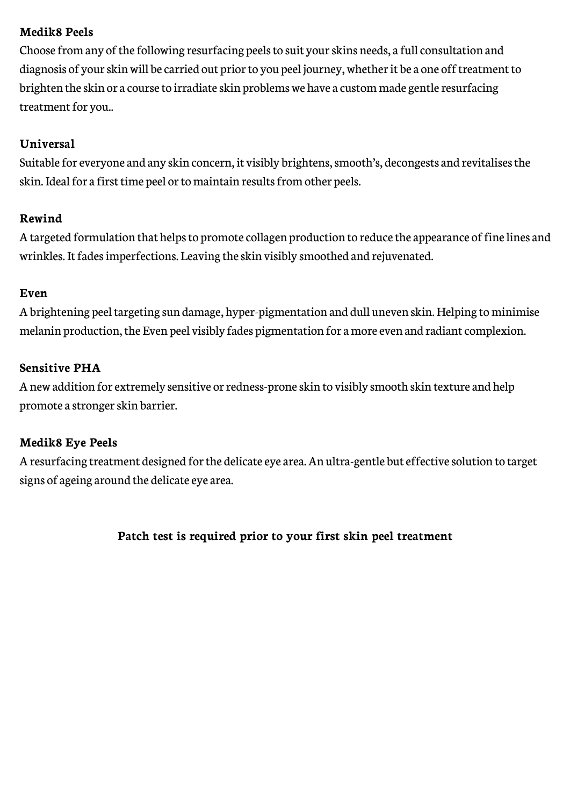## **Medik8 Peels**

Choose from any of the following resurfacing peels to suit your skins needs, a full consultation and diagnosis of your skin will be carried out prior to you peel journey, whether it be a one off treatment to brighten the skin or a course to irradiate skin problems we have a custom made gentle resurfacing treatment for you..

# **Universal**

Suitable for everyone and any skin concern, it visibly brightens, smooth's, decongests and revitalises the skin. Ideal for a first time peel or to maintain results from other peels.

#### **Rewind**

A targeted formulation that helps to promote collagen production to reduce the appearance of fine lines and wrinkles. It fades imperfections. Leaving the skin visibly smoothed and rejuvenated.

### **Even**

A brightening peel targeting sun damage, hyper-pigmentation and dull uneven skin. Helping to minimise melanin production, the Even peel visibly fades pigmentation for a more even and radiant complexion.

### **Sensitive PHA**

A new addition for extremely sensitive or redness-prone skin to visibly smooth skin texture and help promote a stronger skin barrier.

#### **Medik8 Eye Peels**

A resurfacing treatment designed for the delicate eye area. An ultra-gentle but effective solution to target signs of ageing around the delicate eye area.

# **Patch test is required prior to your first skin peel treatment**